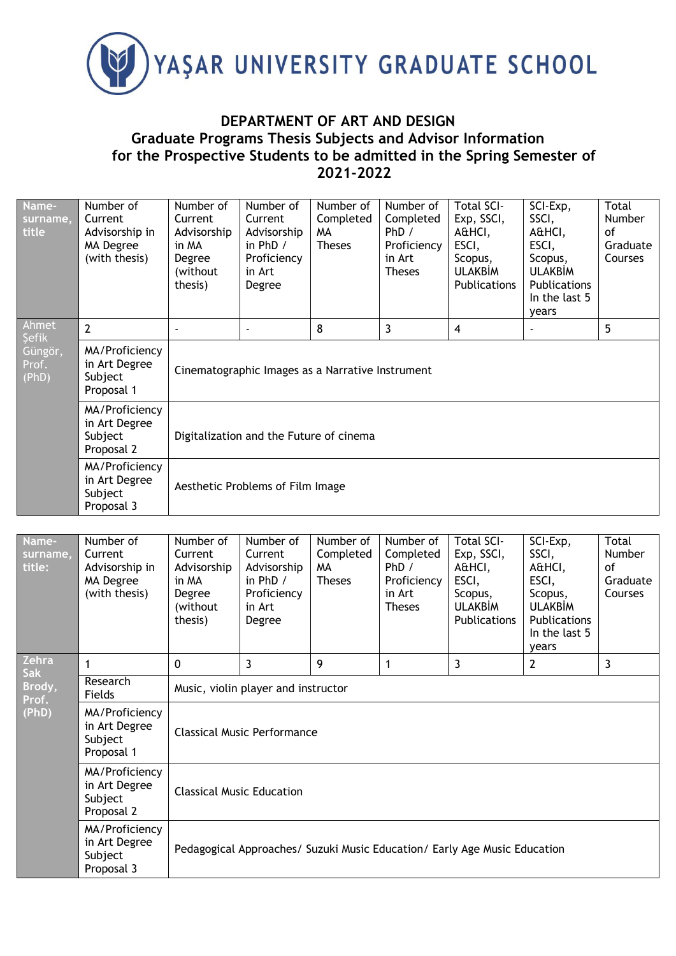

## **DEPARTMENT OF ART AND DESIGN Graduate Programs Thesis Subjects and Advisor Information for the Prospective Students to be admitted in the Spring Semester of 2021-2022**

| Name-<br>surname,<br>title                  | Number of<br>Current<br>Advisorship in<br>MA Degree<br>(with thesis) | Number of<br>Current<br>Advisorship<br>in MA<br>Degree<br>(without)<br>thesis) | Number of<br>Current<br>Advisorship<br>in $PhD /$<br>Proficiency<br>in Art<br>Degree | Number of<br>Completed<br>MA.<br><b>Theses</b> | Number of<br>Completed<br>PhD /<br>Proficiency<br>in Art<br><b>Theses</b> | <b>Total SCI-</b><br>Exp, SSCI,<br>A&HCI,<br>ESCI,<br>Scopus,<br><b>ULAKBIM</b><br>Publications | SCI-Exp,<br>SSCI,<br>A&HCI,<br>ESCI,<br>Scopus,<br><b>ULAKBIM</b><br><b>Publications</b><br>In the last 5<br>years | Total<br><b>Number</b><br>οf<br>Graduate<br>Courses |  |  |
|---------------------------------------------|----------------------------------------------------------------------|--------------------------------------------------------------------------------|--------------------------------------------------------------------------------------|------------------------------------------------|---------------------------------------------------------------------------|-------------------------------------------------------------------------------------------------|--------------------------------------------------------------------------------------------------------------------|-----------------------------------------------------|--|--|
| Ahmet<br>Şefik<br>Güngör,<br>Prof.<br>(PhD) | $\overline{2}$                                                       |                                                                                |                                                                                      | 8                                              | 3                                                                         | $\overline{4}$                                                                                  |                                                                                                                    | 5                                                   |  |  |
|                                             | MA/Proficiency<br>in Art Degree<br>Subject<br>Proposal 1             | Cinematographic Images as a Narrative Instrument                               |                                                                                      |                                                |                                                                           |                                                                                                 |                                                                                                                    |                                                     |  |  |
|                                             | MA/Proficiency<br>in Art Degree<br>Subject<br>Proposal 2             | Digitalization and the Future of cinema                                        |                                                                                      |                                                |                                                                           |                                                                                                 |                                                                                                                    |                                                     |  |  |
|                                             | MA/Proficiency<br>in Art Degree<br>Subject<br>Proposal 3             | Aesthetic Problems of Film Image                                               |                                                                                      |                                                |                                                                           |                                                                                                 |                                                                                                                    |                                                     |  |  |

| Name-<br>surname,<br>title:              | Number of<br>Current<br>Advisorship in<br>MA Degree<br>(with thesis) | Number of<br>Current<br>Advisorship<br>in MA<br>Degree<br>(without<br>thesis) | Number of<br>Current<br>Advisorship<br>in $PhD /$<br>Proficiency<br>in Art<br>Degree | Number of<br>Completed<br>MA<br><b>Theses</b> | Number of<br>Completed<br>PhD /<br>Proficiency<br>in Art<br><b>Theses</b> | <b>Total SCI-</b><br>Exp, SSCI,<br>A&HCI,<br>ESCI,<br>Scopus,<br><b>ULAKBIM</b><br><b>Publications</b> | SCI-Exp,<br>SSCI,<br>A&HCI,<br>ESCI,<br>Scopus,<br><b>ULAKBIM</b><br>Publications<br>In the last 5<br>years | Total<br>Number<br>of<br>Graduate<br>Courses |  |  |
|------------------------------------------|----------------------------------------------------------------------|-------------------------------------------------------------------------------|--------------------------------------------------------------------------------------|-----------------------------------------------|---------------------------------------------------------------------------|--------------------------------------------------------------------------------------------------------|-------------------------------------------------------------------------------------------------------------|----------------------------------------------|--|--|
| Zehra<br>Sak<br>Brody,<br>Prof.<br>(PhD) | 1                                                                    | $\Omega$                                                                      | 3<br>$\overline{3}$<br>3<br>9<br>$\mathbf{2}$<br>1                                   |                                               |                                                                           |                                                                                                        |                                                                                                             |                                              |  |  |
|                                          | Research<br>Fields                                                   | Music, violin player and instructor                                           |                                                                                      |                                               |                                                                           |                                                                                                        |                                                                                                             |                                              |  |  |
|                                          | MA/Proficiency<br>in Art Degree<br>Subject<br>Proposal 1             | <b>Classical Music Performance</b>                                            |                                                                                      |                                               |                                                                           |                                                                                                        |                                                                                                             |                                              |  |  |
|                                          | MA/Proficiency<br>in Art Degree<br>Subject<br>Proposal 2             | <b>Classical Music Education</b>                                              |                                                                                      |                                               |                                                                           |                                                                                                        |                                                                                                             |                                              |  |  |
|                                          | MA/Proficiency<br>in Art Degree<br>Subject<br>Proposal 3             | Pedagogical Approaches/ Suzuki Music Education/ Early Age Music Education     |                                                                                      |                                               |                                                                           |                                                                                                        |                                                                                                             |                                              |  |  |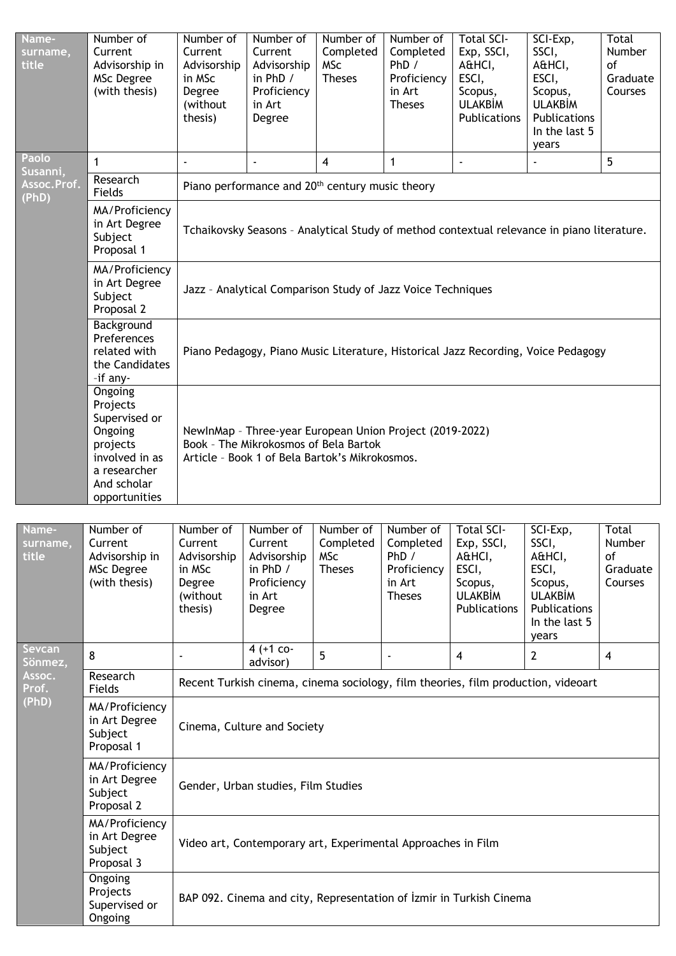| Name-<br>surname,<br>title | Number of<br>Current<br>Advisorship in<br><b>MSc Degree</b><br>(with thesis)                                                                                 | Number of<br>Current<br>Advisorship<br>in MSc<br>Degree<br>(without<br>thesis) | Number of<br>Current<br>Advisorship<br>in PhD /<br>Proficiency<br>in Art<br>Degree                                                                  | Number of<br>Completed<br><b>MSc</b><br><b>Theses</b> | Number of<br>Completed<br>PhD /<br>Proficiency<br>in Art<br><b>Theses</b> | <b>Total SCI-</b><br>Exp, SSCI,<br>A&HCI,<br>ESCI,<br>Scopus,<br><b>ULAKBİM</b><br>Publications | SCI-Exp,<br>SSCI,<br>A&HCI,<br>ESCI,<br>Scopus,<br><b>ULAKBİM</b><br>Publications<br>In the last 5<br>years | Total<br>Number<br>of<br>Graduate<br>Courses |  |  |
|----------------------------|--------------------------------------------------------------------------------------------------------------------------------------------------------------|--------------------------------------------------------------------------------|-----------------------------------------------------------------------------------------------------------------------------------------------------|-------------------------------------------------------|---------------------------------------------------------------------------|-------------------------------------------------------------------------------------------------|-------------------------------------------------------------------------------------------------------------|----------------------------------------------|--|--|
| Paolo<br>Susanni,          | $\mathbf{1}$                                                                                                                                                 | $\blacksquare$                                                                 | ä,                                                                                                                                                  | $\overline{\mathbf{4}}$                               | $\mathbf{1}$                                                              | $\blacksquare$                                                                                  |                                                                                                             | 5                                            |  |  |
| Assoc.Prof.<br>(PhD)       | Research<br>Fields                                                                                                                                           | Piano performance and 20 <sup>th</sup> century music theory                    |                                                                                                                                                     |                                                       |                                                                           |                                                                                                 |                                                                                                             |                                              |  |  |
|                            | MA/Proficiency<br>in Art Degree<br>Subject<br>Proposal 1                                                                                                     |                                                                                | Tchaikovsky Seasons - Analytical Study of method contextual relevance in piano literature.                                                          |                                                       |                                                                           |                                                                                                 |                                                                                                             |                                              |  |  |
|                            | MA/Proficiency<br>in Art Degree<br>Jazz - Analytical Comparison Study of Jazz Voice Techniques<br>Subject<br>Proposal 2                                      |                                                                                |                                                                                                                                                     |                                                       |                                                                           |                                                                                                 |                                                                                                             |                                              |  |  |
|                            | Background<br>Preferences<br>related with<br>Piano Pedagogy, Piano Music Literature, Historical Jazz Recording, Voice Pedagogy<br>the Candidates<br>-if any- |                                                                                |                                                                                                                                                     |                                                       |                                                                           |                                                                                                 |                                                                                                             |                                              |  |  |
|                            | Ongoing<br>Projects<br>Supervised or<br>Ongoing<br>projects<br>involved in as<br>a researcher<br>And scholar<br>opportunities                                |                                                                                | NewlnMap - Three-year European Union Project (2019-2022)<br>Book - The Mikrokosmos of Bela Bartok<br>Article - Book 1 of Bela Bartok's Mikrokosmos. |                                                       |                                                                           |                                                                                                 |                                                                                                             |                                              |  |  |
| Name-<br>surname,<br>title | Number of<br>Current<br>Advisorship in<br>MSc Degree<br>(with thesis)                                                                                        | Number of<br>Current<br>Advisorship<br>in MSc<br>Degree<br>(without<br>thesis) | Number of<br>Current<br>Advisorship<br>in PhD /<br>Proficiency<br>in Art<br>Degree                                                                  | Number of<br>Completed<br><b>MSc</b><br><b>Theses</b> | Number of<br>Completed<br>PhD /<br>Proficiency<br>in Art<br><b>Theses</b> | <b>Total SCI-</b><br>Exp, SSCI,<br>A&HCI,<br>ESCI,<br>Scopus,<br><b>ULAKBİM</b><br>Publications | SCI-Exp,<br>SSCI,<br>A&HCI,<br>ESCI,<br>Scopus,<br><b>ULAKBİM</b><br>Publications<br>In the last 5<br>years | Total<br>Number<br>of<br>Graduate<br>Courses |  |  |
| Sevcan<br>Sönmez,          | 8                                                                                                                                                            |                                                                                | 4 (+1 co-<br>advisor)                                                                                                                               | 5                                                     |                                                                           | 4                                                                                               | $\overline{2}$                                                                                              | $\overline{4}$                               |  |  |
| Assoc.<br>Prof.            | Research<br>Fields                                                                                                                                           |                                                                                |                                                                                                                                                     |                                                       |                                                                           | Recent Turkish cinema, cinema sociology, film theories, film production, videoart               |                                                                                                             |                                              |  |  |
| (PhD)                      | MA/Proficiency<br>in Art Degree<br>Subject<br>Proposal 1                                                                                                     |                                                                                | Cinema, Culture and Society                                                                                                                         |                                                       |                                                                           |                                                                                                 |                                                                                                             |                                              |  |  |
|                            | MA/Proficiency<br>in Art Degree<br>Subject<br>Proposal 2                                                                                                     |                                                                                | Gender, Urban studies, Film Studies                                                                                                                 |                                                       |                                                                           |                                                                                                 |                                                                                                             |                                              |  |  |
|                            | MA/Proficiency<br>in Art Degree<br>Subject<br>Proposal 3                                                                                                     |                                                                                | Video art, Contemporary art, Experimental Approaches in Film                                                                                        |                                                       |                                                                           |                                                                                                 |                                                                                                             |                                              |  |  |
|                            | Ongoing<br>Projects<br>Supervised or<br>Ongoing                                                                                                              |                                                                                |                                                                                                                                                     |                                                       |                                                                           | BAP 092. Cinema and city, Representation of Izmir in Turkish Cinema                             |                                                                                                             |                                              |  |  |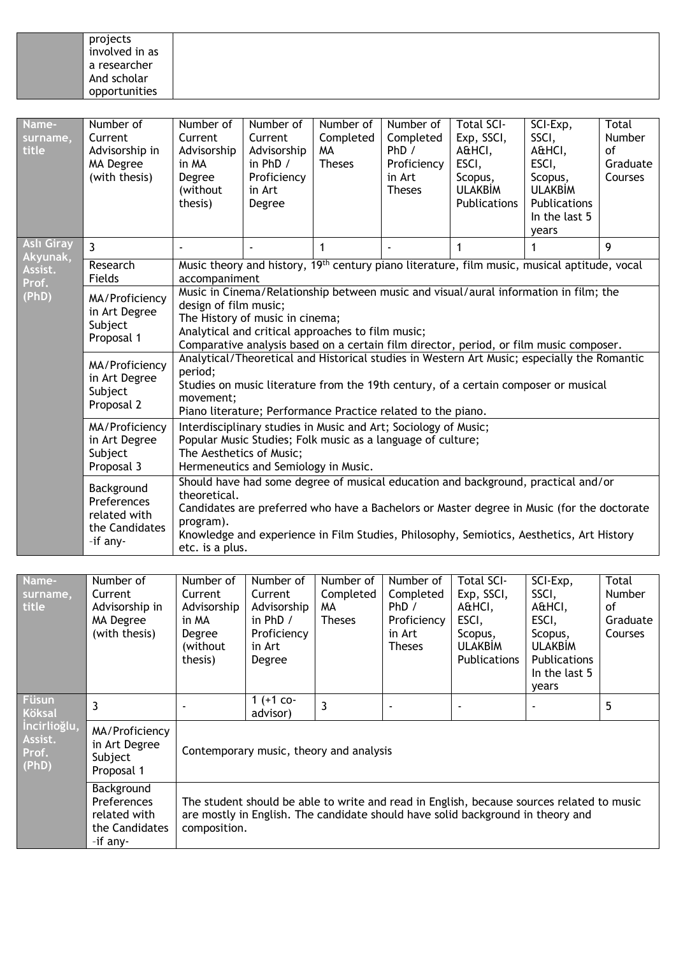| projects<br>involved in as  |
|-----------------------------|
| a researcher<br>And scholar |
| opportunities               |

| Name-<br>surname,<br>title                        | Number of<br>Current<br>Advisorship in<br>MA Degree<br>(with thesis)                                                 | Number of<br>Current<br>Advisorship<br>in MA<br>Degree<br>(without<br>thesis)                                                                                                                                              | Number of<br>Current<br>Advisorship<br>in PhD /<br>Proficiency<br>in Art<br>Degree   | Number of<br>Completed<br>MA<br><b>Theses</b> | Number of<br>Completed<br>PhD/<br>Proficiency<br>in Art<br><b>Theses</b> | <b>Total SCI-</b><br>Exp, SSCI,<br>A&HCI,<br>ESCI,<br>Scopus,<br><b>ULAKBİM</b><br>Publications                                                                                                                                                                              | SCI-Exp,<br>SSCI,<br>A&HCI,<br>ESCI,<br>Scopus,<br><b>ULAKBİM</b><br><b>Publications</b><br>In the last 5<br>years | Total<br><b>Number</b><br>of<br>Graduate<br>Courses |  |
|---------------------------------------------------|----------------------------------------------------------------------------------------------------------------------|----------------------------------------------------------------------------------------------------------------------------------------------------------------------------------------------------------------------------|--------------------------------------------------------------------------------------|-----------------------------------------------|--------------------------------------------------------------------------|------------------------------------------------------------------------------------------------------------------------------------------------------------------------------------------------------------------------------------------------------------------------------|--------------------------------------------------------------------------------------------------------------------|-----------------------------------------------------|--|
| <b>Aslı Giray</b><br>Akyunak,<br>Assist.<br>Prof. | $\overline{3}$                                                                                                       |                                                                                                                                                                                                                            |                                                                                      | 1                                             |                                                                          | 1                                                                                                                                                                                                                                                                            | 1                                                                                                                  | 9                                                   |  |
|                                                   | Research<br>Fields                                                                                                   | Music theory and history, 19 <sup>th</sup> century piano literature, film music, musical aptitude, vocal<br>accompaniment<br>Music in Cinema/Relationship between music and visual/aural information in film; the          |                                                                                      |                                               |                                                                          |                                                                                                                                                                                                                                                                              |                                                                                                                    |                                                     |  |
| (PhD)                                             | MA/Proficiency<br>in Art Degree<br>Subject<br>Proposal 1<br>MA/Proficiency<br>in Art Degree<br>Subject<br>Proposal 2 | design of film music;<br>period;<br>movement:                                                                                                                                                                              | The History of music in cinema;<br>Analytical and critical approaches to film music; |                                               |                                                                          | Comparative analysis based on a certain film director, period, or film music composer.<br>Analytical/Theoretical and Historical studies in Western Art Music; especially the Romantic<br>Studies on music literature from the 19th century, of a certain composer or musical |                                                                                                                    |                                                     |  |
|                                                   | MA/Proficiency<br>in Art Degree<br>Subject                                                                           | Piano literature; Performance Practice related to the piano.<br>Interdisciplinary studies in Music and Art; Sociology of Music;<br>Popular Music Studies; Folk music as a language of culture;<br>The Aesthetics of Music; |                                                                                      |                                               |                                                                          |                                                                                                                                                                                                                                                                              |                                                                                                                    |                                                     |  |
|                                                   | Proposal 3                                                                                                           |                                                                                                                                                                                                                            | Hermeneutics and Semiology in Music.                                                 |                                               |                                                                          |                                                                                                                                                                                                                                                                              |                                                                                                                    |                                                     |  |
|                                                   | Background<br>Preferences<br>related with<br>the Candidates<br>-if any-                                              | theoretical.<br>program).<br>etc. is a plus.                                                                                                                                                                               |                                                                                      |                                               |                                                                          | Should have had some degree of musical education and background, practical and/or<br>Candidates are preferred who have a Bachelors or Master degree in Music (for the doctorate<br>Knowledge and experience in Film Studies, Philosophy, Semiotics, Aesthetics, Art History  |                                                                                                                    |                                                     |  |

| Name-<br>surname,<br>title                                                 | Number of<br>Current<br>Advisorship in<br>MA Degree<br>(with thesis)    | Number of<br>Current<br>Advisorship<br>in MA<br>Degree<br>(without)<br>thesis) | Number of<br>Current<br>Advisorship<br>in $PhD /$<br>Proficiency<br>in Art<br>Degree | Number of<br>Completed<br>MA<br><b>Theses</b> | Number of<br>Completed<br>PhD /<br>Proficiency<br>in Art<br><b>Theses</b> | <b>Total SCI-</b><br>Exp, SSCI,<br>A&HCI,<br>ESCI,<br>Scopus,<br><b>ULAKBIM</b><br>Publications                                                                              | SCI-Exp,<br>SSCI,<br>A&HCI,<br>ESCI,<br>Scopus,<br><b>ULAKBİM</b><br><b>Publications</b><br>In the last 5<br>years | Total<br><b>Number</b><br>of<br>Graduate<br>Courses |
|----------------------------------------------------------------------------|-------------------------------------------------------------------------|--------------------------------------------------------------------------------|--------------------------------------------------------------------------------------|-----------------------------------------------|---------------------------------------------------------------------------|------------------------------------------------------------------------------------------------------------------------------------------------------------------------------|--------------------------------------------------------------------------------------------------------------------|-----------------------------------------------------|
| <b>Füsun</b><br><b>Köksal</b><br>İncirlioğlu,<br>Assist.<br>Prof.<br>(PhD) | 3                                                                       |                                                                                | 1 $(+1$ co-<br>advisor)                                                              |                                               |                                                                           |                                                                                                                                                                              |                                                                                                                    | 5                                                   |
|                                                                            | MA/Proficiency<br>in Art Degree<br>Subject<br>Proposal 1                | Contemporary music, theory and analysis                                        |                                                                                      |                                               |                                                                           |                                                                                                                                                                              |                                                                                                                    |                                                     |
|                                                                            | Background<br>Preferences<br>related with<br>the Candidates<br>-if any- | composition.                                                                   |                                                                                      |                                               |                                                                           | The student should be able to write and read in English, because sources related to music<br>are mostly in English. The candidate should have solid background in theory and |                                                                                                                    |                                                     |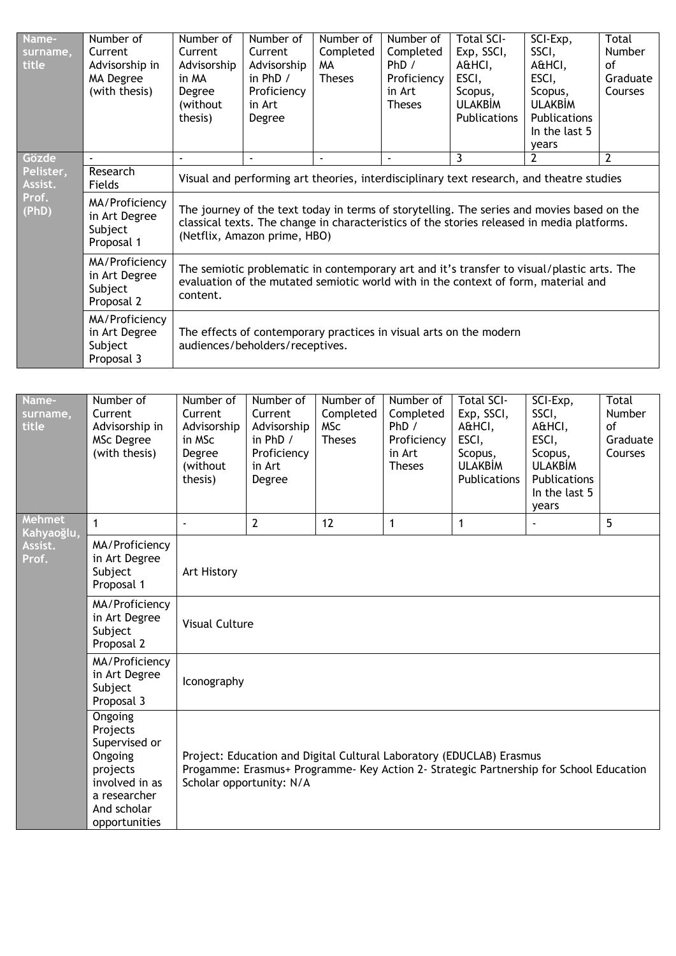| Name-<br>surname,<br>title | Number of<br>Current<br>Advisorship in<br>MA Degree<br>(with thesis) | Number of<br>Current<br>Advisorship<br>in MA<br>Degree<br>(without)<br>thesis)                                                                                                               | Number of<br>Current<br>Advisorship<br>in PhD $/$<br>Proficiency<br>in Art<br>Degree                                                                                                                                     | Number of<br>Completed<br>MA.<br><b>Theses</b> | Number of<br>Completed<br>PhD /<br>Proficiency<br>in Art<br><b>Theses</b> | <b>Total SCI-</b><br>Exp, SSCI,<br>A&HCI,<br>ESCI,<br>Scopus,<br>ULAKBİM<br><b>Publications</b> | SCI-Exp,<br>SSCI,<br>A&HCI,<br>ESCI,<br>Scopus,<br><b>ULAKBIM</b><br><b>Publications</b><br>In the last 5<br>years | Total<br><b>Number</b><br>οf<br>Graduate<br>Courses |  |
|----------------------------|----------------------------------------------------------------------|----------------------------------------------------------------------------------------------------------------------------------------------------------------------------------------------|--------------------------------------------------------------------------------------------------------------------------------------------------------------------------------------------------------------------------|------------------------------------------------|---------------------------------------------------------------------------|-------------------------------------------------------------------------------------------------|--------------------------------------------------------------------------------------------------------------------|-----------------------------------------------------|--|
| Gözde                      |                                                                      |                                                                                                                                                                                              |                                                                                                                                                                                                                          | $\overline{a}$                                 | $\sim$                                                                    | 3                                                                                               | $\overline{2}$                                                                                                     | $\overline{2}$                                      |  |
| Pelister,<br>Assist.       | Research<br>Fields                                                   | Visual and performing art theories, interdisciplinary text research, and theatre studies                                                                                                     |                                                                                                                                                                                                                          |                                                |                                                                           |                                                                                                 |                                                                                                                    |                                                     |  |
| Prof.<br>(PhD)             | MA/Proficiency<br>in Art Degree<br>Subject<br>Proposal 1             |                                                                                                                                                                                              | The journey of the text today in terms of storytelling. The series and movies based on the<br>classical texts. The change in characteristics of the stories released in media platforms.<br>(Netflix, Amazon prime, HBO) |                                                |                                                                           |                                                                                                 |                                                                                                                    |                                                     |  |
|                            | MA/Proficiency<br>in Art Degree<br>Subject<br>Proposal 2             | The semiotic problematic in contemporary art and it's transfer to visual/plastic arts. The<br>evaluation of the mutated semiotic world with in the context of form, material and<br>content. |                                                                                                                                                                                                                          |                                                |                                                                           |                                                                                                 |                                                                                                                    |                                                     |  |
|                            | MA/Proficiency<br>in Art Degree<br>Subject<br>Proposal 3             |                                                                                                                                                                                              | audiences/beholders/receptives.                                                                                                                                                                                          |                                                |                                                                           | The effects of contemporary practices in visual arts on the modern                              |                                                                                                                    |                                                     |  |

| Name-<br>surname,<br>title | Number of<br>Current<br>Advisorship in<br>MSc Degree<br>(with thesis)                                                         | Number of<br>Current<br>Advisorship<br>in MSc<br>Degree<br>(without<br>thesis)                                                                                                             | Number of<br>Current<br>Advisorship<br>in PhD /<br>Proficiency<br>in Art<br>Degree | Number of<br>Completed<br><b>MSc</b><br><b>Theses</b> | Number of<br>Completed<br>PhD /<br>Proficiency<br>in Art<br><b>Theses</b> | <b>Total SCI-</b><br>Exp, SSCI,<br>A&HCI,<br>ESCI,<br>Scopus,<br><b>ULAKBİM</b><br><b>Publications</b> | SCI-Exp,<br>SSCI,<br>A&HCI,<br>ESCI,<br>Scopus,<br><b>ULAKBİM</b><br>Publications<br>In the last 5<br>years | Total<br>Number<br>of<br>Graduate<br>Courses |  |  |
|----------------------------|-------------------------------------------------------------------------------------------------------------------------------|--------------------------------------------------------------------------------------------------------------------------------------------------------------------------------------------|------------------------------------------------------------------------------------|-------------------------------------------------------|---------------------------------------------------------------------------|--------------------------------------------------------------------------------------------------------|-------------------------------------------------------------------------------------------------------------|----------------------------------------------|--|--|
| Mehmet<br>Kahyaoğlu,       | 1                                                                                                                             |                                                                                                                                                                                            | $\overline{2}$                                                                     | 12                                                    | 1                                                                         | 1                                                                                                      |                                                                                                             | 5                                            |  |  |
| Assist.<br>Prof.           | MA/Proficiency<br>in Art Degree<br>Subject<br>Proposal 1                                                                      | Art History                                                                                                                                                                                |                                                                                    |                                                       |                                                                           |                                                                                                        |                                                                                                             |                                              |  |  |
|                            | MA/Proficiency<br>in Art Degree<br>Subject<br>Proposal 2                                                                      | <b>Visual Culture</b>                                                                                                                                                                      |                                                                                    |                                                       |                                                                           |                                                                                                        |                                                                                                             |                                              |  |  |
|                            | MA/Proficiency<br>in Art Degree<br>Subject<br>Proposal 3                                                                      | Iconography                                                                                                                                                                                |                                                                                    |                                                       |                                                                           |                                                                                                        |                                                                                                             |                                              |  |  |
|                            | Ongoing<br>Projects<br>Supervised or<br>Ongoing<br>projects<br>involved in as<br>a researcher<br>And scholar<br>opportunities | Project: Education and Digital Cultural Laboratory (EDUCLAB) Erasmus<br>Progamme: Erasmus+ Programme- Key Action 2- Strategic Partnership for School Education<br>Scholar opportunity: N/A |                                                                                    |                                                       |                                                                           |                                                                                                        |                                                                                                             |                                              |  |  |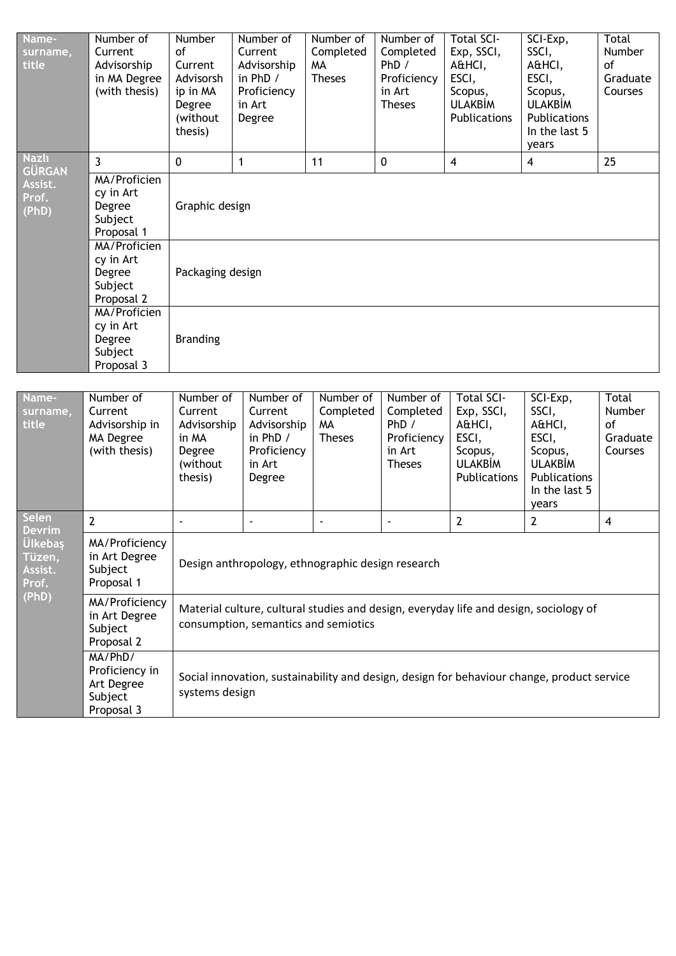| Name-<br>surname,<br>title                   | Number of<br>Current<br>Advisorship<br>in MA Degree<br>(with thesis) | Number<br>0f<br>Current<br>Advisorsh<br>ip in MA<br>Degree<br>(without<br>thesis) | Number of<br>Current<br>Advisorship<br>in PhD /<br>Proficiency<br>in Art<br>Degree | Number of<br>Completed<br><b>MA</b><br><b>Theses</b> | Number of<br>Completed<br>PhD /<br>Proficiency<br>in Art<br><b>Theses</b> | <b>Total SCI-</b><br>Exp, SSCI,<br>A&HCI,<br>ESCI,<br>Scopus,<br><b>ULAKBİM</b><br>Publications | SCI-Exp,<br>SSCI,<br>A&HCI,<br>ESCI,<br>Scopus,<br><b>ULAKBİM</b><br>Publications<br>In the last 5<br>years | Total<br>Number<br>of<br>Graduate<br>Courses |  |  |
|----------------------------------------------|----------------------------------------------------------------------|-----------------------------------------------------------------------------------|------------------------------------------------------------------------------------|------------------------------------------------------|---------------------------------------------------------------------------|-------------------------------------------------------------------------------------------------|-------------------------------------------------------------------------------------------------------------|----------------------------------------------|--|--|
| Nazlı<br><b>GÜRGAN</b>                       | 3                                                                    | $\mathbf 0$                                                                       | $\mathbf{1}$                                                                       | 11                                                   | $\mathbf 0$                                                               | $\overline{\mathbf{4}}$                                                                         | $\overline{\mathbf{4}}$                                                                                     | 25                                           |  |  |
| Assist.<br>Prof.<br>(PhD)                    | <b>MA/Proficien</b><br>cy in Art<br>Degree<br>Subject<br>Proposal 1  | Graphic design                                                                    |                                                                                    |                                                      |                                                                           |                                                                                                 |                                                                                                             |                                              |  |  |
|                                              | MA/Proficien<br>cy in Art<br>Degree<br>Subject<br>Proposal 2         |                                                                                   | Packaging design                                                                   |                                                      |                                                                           |                                                                                                 |                                                                                                             |                                              |  |  |
|                                              | <b>MA/Proficien</b><br>cy in Art<br>Degree<br>Subject<br>Proposal 3  | <b>Branding</b>                                                                   |                                                                                    |                                                      |                                                                           |                                                                                                 |                                                                                                             |                                              |  |  |
|                                              |                                                                      |                                                                                   |                                                                                    |                                                      |                                                                           |                                                                                                 |                                                                                                             |                                              |  |  |
| Name-<br>surname,<br>title                   | Number of<br>Current<br>Advisorship in<br>MA Degree<br>(with thesis) | Number of<br>Current<br>Advisorship<br>in MA<br>Degree<br>(without<br>thesis)     | Number of<br>Current<br>Advisorship<br>in PhD /<br>Proficiency<br>in Art<br>Degree | Number of<br>Completed<br>MA<br><b>Theses</b>        | Number of<br>Completed<br>PhD /<br>Proficiency<br>in Art<br><b>Theses</b> | <b>Total SCI-</b><br>Exp, SSCI,<br>A&HCI,<br>ESCI,<br>Scopus,<br><b>ULAKBİM</b><br>Publications | SCI-Exp,<br>SSCI,<br>A&HCI,<br>ESCI,<br>Scopus,<br><b>ULAKBİM</b><br>Publications<br>In the last 5<br>years | Total<br>Number<br>of<br>Graduate<br>Courses |  |  |
| <b>Selen</b><br><b>Devrim</b>                | $\overline{2}$                                                       | $\blacksquare$                                                                    | ä,                                                                                 | $\overline{\phantom{a}}$                             | ä,                                                                        | $\overline{2}$                                                                                  | $\overline{2}$                                                                                              | $\overline{4}$                               |  |  |
| <b>Ulkebaş</b><br>Tüzen,<br>Assist.<br>Prof. | MA/Proficiency<br>in Art Degree<br>Subject<br>Proposal 1             |                                                                                   | Design anthropology, ethnographic design research                                  |                                                      |                                                                           |                                                                                                 |                                                                                                             |                                              |  |  |
| (PhD)                                        | MA/Proficiency<br>in Art Degree<br>Subject<br>Proposal 2             |                                                                                   | consumption, semantics and semiotics                                               |                                                      |                                                                           | Material culture, cultural studies and design, everyday life and design, sociology of           |                                                                                                             |                                              |  |  |
|                                              | MA/PhD/<br>Proficiency in<br>Art Degree<br>Subject<br>Proposal 3     | systems design                                                                    |                                                                                    |                                                      |                                                                           | Social innovation, sustainability and design, design for behaviour change, product service      |                                                                                                             |                                              |  |  |